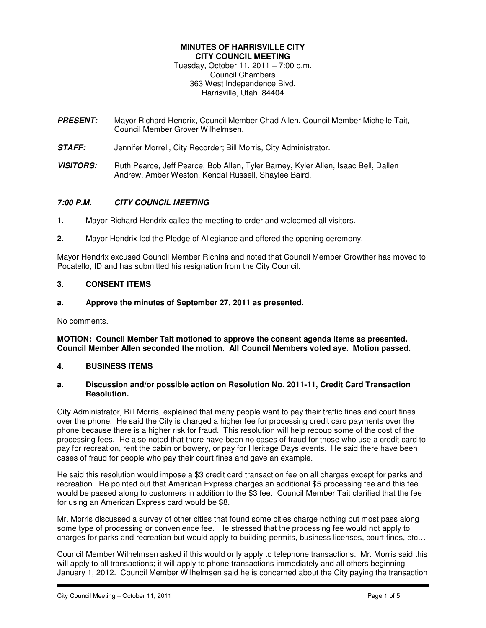### **MINUTES OF HARRISVILLE CITY CITY COUNCIL MEETING**  Tuesday, October 11, 2011 – 7:00 p.m. Council Chambers 363 West Independence Blvd. Harrisville, Utah 84404

**PRESENT:** Mayor Richard Hendrix, Council Member Chad Allen, Council Member Michelle Tait, Council Member Grover Wilhelmsen.

\_\_\_\_\_\_\_\_\_\_\_\_\_\_\_\_\_\_\_\_\_\_\_\_\_\_\_\_\_\_\_\_\_\_\_\_\_\_\_\_\_\_\_\_\_\_\_\_\_\_\_\_\_\_\_\_\_\_\_\_\_\_\_\_\_\_\_\_\_\_\_\_\_\_\_\_\_\_\_\_\_\_

- **STAFF:** Jennifer Morrell, City Recorder; Bill Morris, City Administrator.
- **VISITORS:** Ruth Pearce, Jeff Pearce, Bob Allen, Tyler Barney, Kyler Allen, Isaac Bell, Dallen Andrew, Amber Weston, Kendal Russell, Shaylee Baird.

# **7:00 P.M. CITY COUNCIL MEETING**

- **1.** Mayor Richard Hendrix called the meeting to order and welcomed all visitors.
- **2.** Mayor Hendrix led the Pledge of Allegiance and offered the opening ceremony.

Mayor Hendrix excused Council Member Richins and noted that Council Member Crowther has moved to Pocatello, ID and has submitted his resignation from the City Council.

### **3. CONSENT ITEMS**

**a. Approve the minutes of September 27, 2011 as presented.** 

No comments.

**MOTION: Council Member Tait motioned to approve the consent agenda items as presented. Council Member Allen seconded the motion. All Council Members voted aye. Motion passed.** 

### **4. BUSINESS ITEMS**

#### **a. Discussion and/or possible action on Resolution No. 2011-11, Credit Card Transaction Resolution.**

City Administrator, Bill Morris, explained that many people want to pay their traffic fines and court fines over the phone. He said the City is charged a higher fee for processing credit card payments over the phone because there is a higher risk for fraud. This resolution will help recoup some of the cost of the processing fees. He also noted that there have been no cases of fraud for those who use a credit card to pay for recreation, rent the cabin or bowery, or pay for Heritage Days events. He said there have been cases of fraud for people who pay their court fines and gave an example.

He said this resolution would impose a \$3 credit card transaction fee on all charges except for parks and recreation. He pointed out that American Express charges an additional \$5 processing fee and this fee would be passed along to customers in addition to the \$3 fee. Council Member Tait clarified that the fee for using an American Express card would be \$8.

Mr. Morris discussed a survey of other cities that found some cities charge nothing but most pass along some type of processing or convenience fee. He stressed that the processing fee would not apply to charges for parks and recreation but would apply to building permits, business licenses, court fines, etc…

Council Member Wilhelmsen asked if this would only apply to telephone transactions. Mr. Morris said this will apply to all transactions; it will apply to phone transactions immediately and all others beginning January 1, 2012. Council Member Wilhelmsen said he is concerned about the City paying the transaction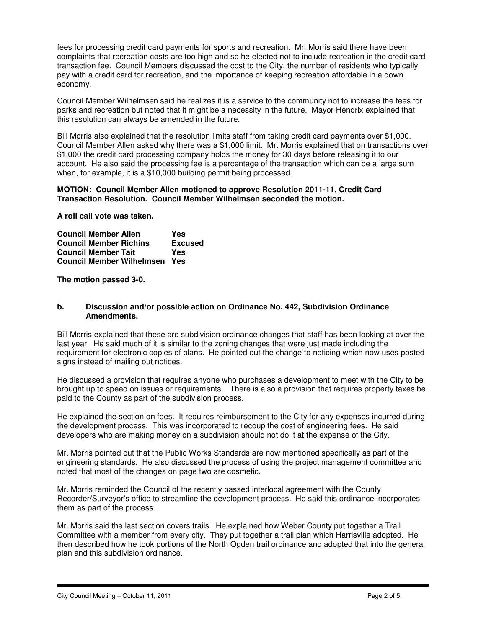fees for processing credit card payments for sports and recreation. Mr. Morris said there have been complaints that recreation costs are too high and so he elected not to include recreation in the credit card transaction fee. Council Members discussed the cost to the City, the number of residents who typically pay with a credit card for recreation, and the importance of keeping recreation affordable in a down economy.

Council Member Wilhelmsen said he realizes it is a service to the community not to increase the fees for parks and recreation but noted that it might be a necessity in the future. Mayor Hendrix explained that this resolution can always be amended in the future.

Bill Morris also explained that the resolution limits staff from taking credit card payments over \$1,000. Council Member Allen asked why there was a \$1,000 limit. Mr. Morris explained that on transactions over \$1,000 the credit card processing company holds the money for 30 days before releasing it to our account. He also said the processing fee is a percentage of the transaction which can be a large sum when, for example, it is a \$10,000 building permit being processed.

### **MOTION: Council Member Allen motioned to approve Resolution 2011-11, Credit Card Transaction Resolution. Council Member Wilhelmsen seconded the motion.**

**A roll call vote was taken.** 

| <b>Council Member Allen</b>      | Yes            |
|----------------------------------|----------------|
| <b>Council Member Richins</b>    | <b>Excused</b> |
| <b>Council Member Tait</b>       | Yes            |
| <b>Council Member Wilhelmsen</b> | Yes            |

**The motion passed 3-0.** 

### **b. Discussion and/or possible action on Ordinance No. 442, Subdivision Ordinance Amendments.**

Bill Morris explained that these are subdivision ordinance changes that staff has been looking at over the last year. He said much of it is similar to the zoning changes that were just made including the requirement for electronic copies of plans. He pointed out the change to noticing which now uses posted signs instead of mailing out notices.

He discussed a provision that requires anyone who purchases a development to meet with the City to be brought up to speed on issues or requirements. There is also a provision that requires property taxes be paid to the County as part of the subdivision process.

He explained the section on fees. It requires reimbursement to the City for any expenses incurred during the development process. This was incorporated to recoup the cost of engineering fees. He said developers who are making money on a subdivision should not do it at the expense of the City.

Mr. Morris pointed out that the Public Works Standards are now mentioned specifically as part of the engineering standards. He also discussed the process of using the project management committee and noted that most of the changes on page two are cosmetic.

Mr. Morris reminded the Council of the recently passed interlocal agreement with the County Recorder/Surveyor's office to streamline the development process. He said this ordinance incorporates them as part of the process.

Mr. Morris said the last section covers trails. He explained how Weber County put together a Trail Committee with a member from every city. They put together a trail plan which Harrisville adopted. He then described how he took portions of the North Ogden trail ordinance and adopted that into the general plan and this subdivision ordinance.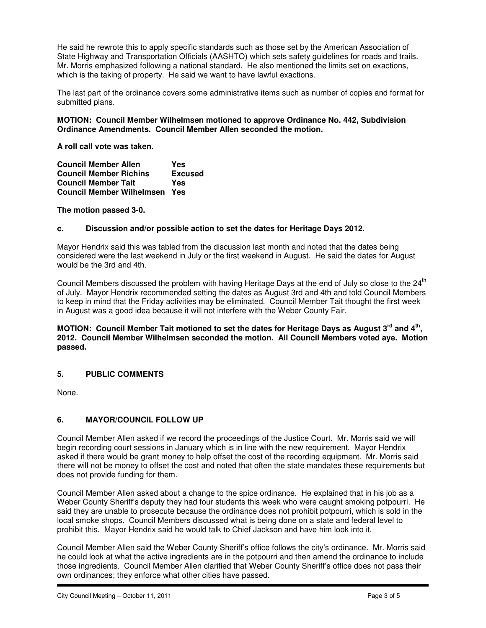He said he rewrote this to apply specific standards such as those set by the American Association of State Highway and Transportation Officials (AASHTO) which sets safety guidelines for roads and trails. Mr. Morris emphasized following a national standard. He also mentioned the limits set on exactions, which is the taking of property. He said we want to have lawful exactions.

The last part of the ordinance covers some administrative items such as number of copies and format for submitted plans.

### **MOTION: Council Member Wilhelmsen motioned to approve Ordinance No. 442, Subdivision Ordinance Amendments. Council Member Allen seconded the motion.**

**A roll call vote was taken.** 

| <b>Council Member Allen</b>      | Yes            |
|----------------------------------|----------------|
| <b>Council Member Richins</b>    | <b>Excused</b> |
| <b>Council Member Tait</b>       | Yes            |
| <b>Council Member Wilhelmsen</b> | Yes            |

**The motion passed 3-0.** 

### **c. Discussion and/or possible action to set the dates for Heritage Days 2012.**

Mayor Hendrix said this was tabled from the discussion last month and noted that the dates being considered were the last weekend in July or the first weekend in August. He said the dates for August would be the 3rd and 4th.

Council Members discussed the problem with having Heritage Days at the end of July so close to the 24<sup>th</sup> of July. Mayor Hendrix recommended setting the dates as August 3rd and 4th and told Council Members to keep in mind that the Friday activities may be eliminated. Council Member Tait thought the first week in August was a good idea because it will not interfere with the Weber County Fair.

**MOTION: Council Member Tait motioned to set the dates for Heritage Days as August 3rd and 4th , 2012. Council Member Wilhelmsen seconded the motion. All Council Members voted aye. Motion passed.** 

# **5. PUBLIC COMMENTS**

None.

# **6. MAYOR/COUNCIL FOLLOW UP**

Council Member Allen asked if we record the proceedings of the Justice Court. Mr. Morris said we will begin recording court sessions in January which is in line with the new requirement. Mayor Hendrix asked if there would be grant money to help offset the cost of the recording equipment. Mr. Morris said there will not be money to offset the cost and noted that often the state mandates these requirements but does not provide funding for them.

Council Member Allen asked about a change to the spice ordinance. He explained that in his job as a Weber County Sheriff's deputy they had four students this week who were caught smoking potpourri. He said they are unable to prosecute because the ordinance does not prohibit potpourri, which is sold in the local smoke shops. Council Members discussed what is being done on a state and federal level to prohibit this. Mayor Hendrix said he would talk to Chief Jackson and have him look into it.

Council Member Allen said the Weber County Sheriff's office follows the city's ordinance. Mr. Morris said he could look at what the active ingredients are in the potpourri and then amend the ordinance to include those ingredients. Council Member Allen clarified that Weber County Sheriff's office does not pass their own ordinances; they enforce what other cities have passed.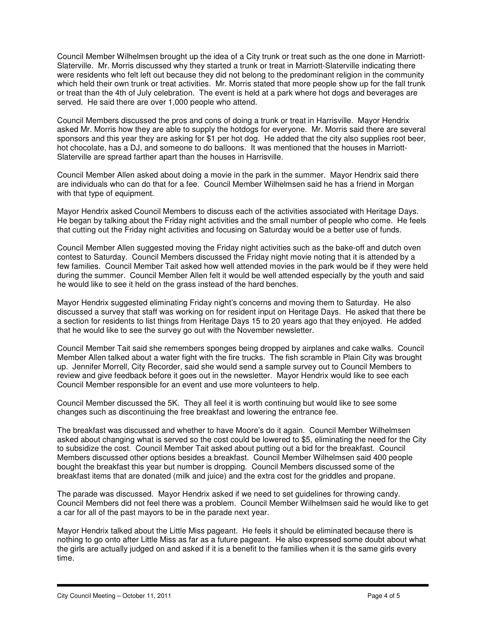Council Member Wilhelmsen brought up the idea of a City trunk or treat such as the one done in Marriott-Slaterville. Mr. Morris discussed why they started a trunk or treat in Marriott-Slaterville indicating there were residents who felt left out because they did not belong to the predominant religion in the community which held their own trunk or treat activities. Mr. Morris stated that more people show up for the fall trunk or treat than the 4th of July celebration. The event is held at a park where hot dogs and beverages are served. He said there are over 1,000 people who attend.

Council Members discussed the pros and cons of doing a trunk or treat in Harrisville. Mayor Hendrix asked Mr. Morris how they are able to supply the hotdogs for everyone. Mr. Morris said there are several sponsors and this year they are asking for \$1 per hot dog. He added that the city also supplies root beer, hot chocolate, has a DJ, and someone to do balloons. It was mentioned that the houses in Marriott-Slaterville are spread farther apart than the houses in Harrisville.

Council Member Allen asked about doing a movie in the park in the summer. Mayor Hendrix said there are individuals who can do that for a fee. Council Member Wilhelmsen said he has a friend in Morgan with that type of equipment.

Mayor Hendrix asked Council Members to discuss each of the activities associated with Heritage Days. He began by talking about the Friday night activities and the small number of people who come. He feels that cutting out the Friday night activities and focusing on Saturday would be a better use of funds.

Council Member Allen suggested moving the Friday night activities such as the bake-off and dutch oven contest to Saturday. Council Members discussed the Friday night movie noting that it is attended by a few families. Council Member Tait asked how well attended movies in the park would be if they were held during the summer. Council Member Allen felt it would be well attended especially by the youth and said he would like to see it held on the grass instead of the hard benches.

Mayor Hendrix suggested eliminating Friday night's concerns and moving them to Saturday. He also discussed a survey that staff was working on for resident input on Heritage Days. He asked that there be a section for residents to list things from Heritage Days 15 to 20 years ago that they enjoyed. He added that he would like to see the survey go out with the November newsletter.

Council Member Tait said she remembers sponges being dropped by airplanes and cake walks. Council Member Allen talked about a water fight with the fire trucks. The fish scramble in Plain City was brought up. Jennifer Morrell, City Recorder, said she would send a sample survey out to Council Members to review and give feedback before it goes out in the newsletter. Mayor Hendrix would like to see each Council Member responsible for an event and use more volunteers to help.

Council Member discussed the 5K. They all feel it is worth continuing but would like to see some changes such as discontinuing the free breakfast and lowering the entrance fee.

The breakfast was discussed and whether to have Moore's do it again. Council Member Wilhelmsen asked about changing what is served so the cost could be lowered to \$5, eliminating the need for the City to subsidize the cost. Council Member Tait asked about putting out a bid for the breakfast. Council Members discussed other options besides a breakfast. Council Member Wilhelmsen said 400 people bought the breakfast this year but number is dropping. Council Members discussed some of the breakfast items that are donated (milk and juice) and the extra cost for the griddles and propane.

The parade was discussed. Mayor Hendrix asked if we need to set guidelines for throwing candy. Council Members did not feel there was a problem. Council Member Wilhelmsen said he would like to get a car for all of the past mayors to be in the parade next year.

Mayor Hendrix talked about the Little Miss pageant. He feels it should be eliminated because there is nothing to go onto after Little Miss as far as a future pageant. He also expressed some doubt about what the girls are actually judged on and asked if it is a benefit to the families when it is the same girls every time.